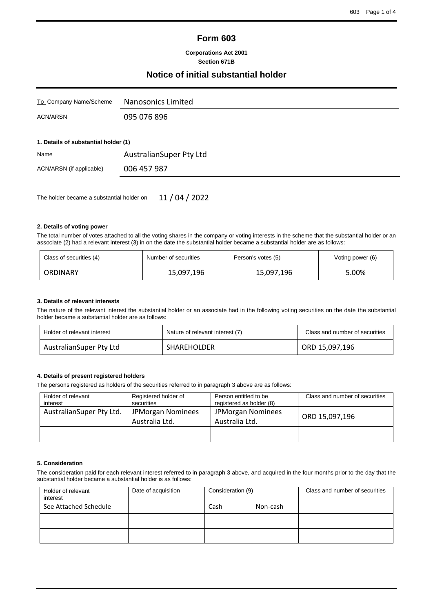# **Form 603**

#### **Corporations Act 2001 Section 671B**

## **Notice of initial substantial holder**

| To Company Name/Scheme               | Nanosonics Limited      |  |  |  |  |  |
|--------------------------------------|-------------------------|--|--|--|--|--|
| ACN/ARSN                             | 095 076 896             |  |  |  |  |  |
| 1. Details of substantial holder (1) |                         |  |  |  |  |  |
| Name                                 | AustralianSuper Pty Ltd |  |  |  |  |  |
| ACN/ARSN (if applicable)             | 006 457 987             |  |  |  |  |  |

The holder became a substantial holder on 11 / 04 / 2022

#### **2. Details of voting power**

The total number of votes attached to all the voting shares in the company or voting interests in the scheme that the substantial holder or an associate (2) had a relevant interest (3) in on the date the substantial holder became a substantial holder are as follows:

| Class of securities (4) | Number of securities | Person's votes (5) | Voting power (6) |  |
|-------------------------|----------------------|--------------------|------------------|--|
| ORDINARY                | 15,097,196           | 15,097,196         | 5.00%            |  |

#### **3. Details of relevant interests**

The nature of the relevant interest the substantial holder or an associate had in the following voting securities on the date the substantial holder became a substantial holder are as follows:

| Holder of relevant interest | Nature of relevant interest (7) | Class and number of securities |
|-----------------------------|---------------------------------|--------------------------------|
| AustralianSuper Pty Ltd     | SHAREHOLDER                     | ORD 15,097,196                 |

#### **4. Details of present registered holders**

The persons registered as holders of the securities referred to in paragraph 3 above are as follows:

| Holder of relevant<br>interest | Registered holder of<br>securities  | Person entitled to be<br>registered as holder (8) | Class and number of securities |
|--------------------------------|-------------------------------------|---------------------------------------------------|--------------------------------|
| AustralianSuper Pty Ltd.       | JPMorgan Nominees<br>Australia Ltd. | <b>JPMorgan Nominees</b><br>Australia Ltd.        | ORD 15,097,196                 |
|                                |                                     |                                                   |                                |

#### **5. Consideration**

The consideration paid for each relevant interest referred to in paragraph 3 above, and acquired in the four months prior to the day that the substantial holder became a substantial holder is as follows:

| Holder of relevant<br>interest | Date of acquisition | Consideration (9) |  | Class and number of securities |
|--------------------------------|---------------------|-------------------|--|--------------------------------|
| See Attached Schedule          |                     | Cash<br>Non-cash  |  |                                |
|                                |                     |                   |  |                                |
|                                |                     |                   |  |                                |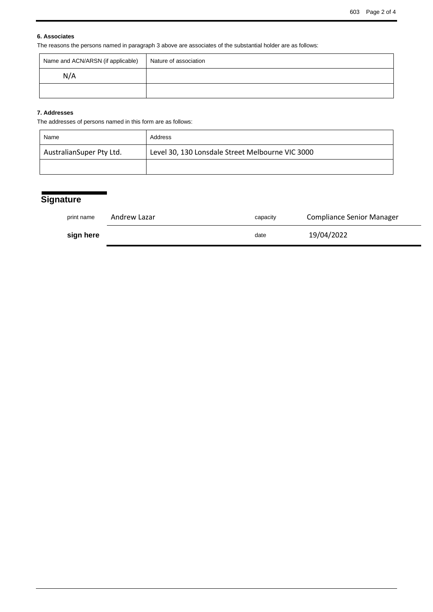## **6. Associates**

The reasons the persons named in paragraph 3 above are associates of the substantial holder are as follows:

| Name and ACN/ARSN (if applicable) | Nature of association |
|-----------------------------------|-----------------------|
| N/A                               |                       |
|                                   |                       |

## **7. Addresses**

The addresses of persons named in this form are as follows:

| Name                     | Address                                          |
|--------------------------|--------------------------------------------------|
| AustralianSuper Pty Ltd. | Level 30, 130 Lonsdale Street Melbourne VIC 3000 |
|                          |                                                  |

# **Signature**

| print name | Andrew Lazar | capacity | <b>Compliance Senior Manager</b> |
|------------|--------------|----------|----------------------------------|
| sign here  |              | date     | 19/04/2022                       |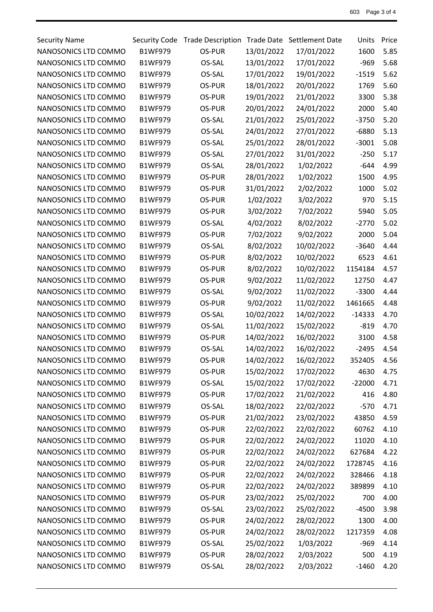| <b>Security Name</b> | Security Code  | <b>Trade Description</b> |            | Trade Date Settlement Date | Units    | Price |
|----------------------|----------------|--------------------------|------------|----------------------------|----------|-------|
| NANOSONICS LTD COMMO | <b>B1WF979</b> | OS-PUR                   | 13/01/2022 | 17/01/2022                 | 1600     | 5.85  |
| NANOSONICS LTD COMMO | <b>B1WF979</b> | OS-SAL                   | 13/01/2022 | 17/01/2022                 | $-969$   | 5.68  |
| NANOSONICS LTD COMMO | <b>B1WF979</b> | OS-SAL                   | 17/01/2022 | 19/01/2022                 | $-1519$  | 5.62  |
| NANOSONICS LTD COMMO | <b>B1WF979</b> | OS-PUR                   | 18/01/2022 | 20/01/2022                 | 1769     | 5.60  |
| NANOSONICS LTD COMMO | <b>B1WF979</b> | OS-PUR                   | 19/01/2022 | 21/01/2022                 | 3300     | 5.38  |
| NANOSONICS LTD COMMO | <b>B1WF979</b> | OS-PUR                   | 20/01/2022 | 24/01/2022                 | 2000     | 5.40  |
| NANOSONICS LTD COMMO | <b>B1WF979</b> | OS-SAL                   | 21/01/2022 | 25/01/2022                 | $-3750$  | 5.20  |
| NANOSONICS LTD COMMO | <b>B1WF979</b> | OS-SAL                   | 24/01/2022 | 27/01/2022                 | $-6880$  | 5.13  |
| NANOSONICS LTD COMMO | <b>B1WF979</b> | OS-SAL                   | 25/01/2022 | 28/01/2022                 | $-3001$  | 5.08  |
| NANOSONICS LTD COMMO | <b>B1WF979</b> | OS-SAL                   | 27/01/2022 | 31/01/2022                 | $-250$   | 5.17  |
| NANOSONICS LTD COMMO | <b>B1WF979</b> | OS-SAL                   | 28/01/2022 | 1/02/2022                  | $-644$   | 4.99  |
| NANOSONICS LTD COMMO | <b>B1WF979</b> | OS-PUR                   | 28/01/2022 | 1/02/2022                  | 1500     | 4.95  |
| NANOSONICS LTD COMMO | <b>B1WF979</b> | OS-PUR                   | 31/01/2022 | 2/02/2022                  | 1000     | 5.02  |
| NANOSONICS LTD COMMO | <b>B1WF979</b> | OS-PUR                   | 1/02/2022  | 3/02/2022                  | 970      | 5.15  |
| NANOSONICS LTD COMMO | <b>B1WF979</b> | OS-PUR                   | 3/02/2022  | 7/02/2022                  | 5940     | 5.05  |
| NANOSONICS LTD COMMO | <b>B1WF979</b> | OS-SAL                   | 4/02/2022  | 8/02/2022                  | $-2770$  | 5.02  |
| NANOSONICS LTD COMMO | <b>B1WF979</b> | OS-PUR                   | 7/02/2022  | 9/02/2022                  | 2000     | 5.04  |
| NANOSONICS LTD COMMO | <b>B1WF979</b> | OS-SAL                   | 8/02/2022  | 10/02/2022                 | $-3640$  | 4.44  |
| NANOSONICS LTD COMMO | <b>B1WF979</b> | OS-PUR                   | 8/02/2022  | 10/02/2022                 | 6523     | 4.61  |
| NANOSONICS LTD COMMO | <b>B1WF979</b> | OS-PUR                   | 8/02/2022  | 10/02/2022                 | 1154184  | 4.57  |
| NANOSONICS LTD COMMO | <b>B1WF979</b> | OS-PUR                   | 9/02/2022  | 11/02/2022                 | 12750    | 4.47  |
| NANOSONICS LTD COMMO | <b>B1WF979</b> | OS-SAL                   | 9/02/2022  | 11/02/2022                 | $-3300$  | 4.44  |
| NANOSONICS LTD COMMO | <b>B1WF979</b> | OS-PUR                   | 9/02/2022  | 11/02/2022                 | 1461665  | 4.48  |
| NANOSONICS LTD COMMO | <b>B1WF979</b> | OS-SAL                   | 10/02/2022 | 14/02/2022                 | $-14333$ | 4.70  |
| NANOSONICS LTD COMMO | <b>B1WF979</b> | OS-SAL                   | 11/02/2022 | 15/02/2022                 | $-819$   | 4.70  |
| NANOSONICS LTD COMMO | <b>B1WF979</b> | OS-PUR                   | 14/02/2022 | 16/02/2022                 | 3100     | 4.58  |
| NANOSONICS LTD COMMO | <b>B1WF979</b> | OS-SAL                   | 14/02/2022 | 16/02/2022                 | $-2495$  | 4.54  |
| NANOSONICS LTD COMMO | <b>B1WF979</b> | OS-PUR                   | 14/02/2022 | 16/02/2022                 | 352405   | 4.56  |
| NANOSONICS LTD COMMO | <b>B1WF979</b> | OS-PUR                   | 15/02/2022 | 17/02/2022                 | 4630     | 4.75  |
| NANOSONICS LTD COMMO | <b>B1WF979</b> | OS-SAL                   | 15/02/2022 | 17/02/2022                 | $-22000$ | 4.71  |
| NANOSONICS LTD COMMO | <b>B1WF979</b> | OS-PUR                   | 17/02/2022 | 21/02/2022                 | 416      | 4.80  |
| NANOSONICS LTD COMMO | <b>B1WF979</b> | OS-SAL                   | 18/02/2022 | 22/02/2022                 | $-570$   | 4.71  |
| NANOSONICS LTD COMMO | <b>B1WF979</b> | OS-PUR                   | 21/02/2022 | 23/02/2022                 | 43850    | 4.59  |
| NANOSONICS LTD COMMO | <b>B1WF979</b> | OS-PUR                   | 22/02/2022 | 22/02/2022                 | 60762    | 4.10  |
| NANOSONICS LTD COMMO | <b>B1WF979</b> | OS-PUR                   | 22/02/2022 | 24/02/2022                 | 11020    | 4.10  |
| NANOSONICS LTD COMMO | <b>B1WF979</b> | OS-PUR                   | 22/02/2022 | 24/02/2022                 | 627684   | 4.22  |
| NANOSONICS LTD COMMO | <b>B1WF979</b> | OS-PUR                   | 22/02/2022 | 24/02/2022                 | 1728745  | 4.16  |
| NANOSONICS LTD COMMO | <b>B1WF979</b> | OS-PUR                   | 22/02/2022 | 24/02/2022                 | 328466   | 4.18  |
| NANOSONICS LTD COMMO | <b>B1WF979</b> | OS-PUR                   | 22/02/2022 | 24/02/2022                 | 389899   | 4.10  |
| NANOSONICS LTD COMMO | <b>B1WF979</b> | OS-PUR                   | 23/02/2022 | 25/02/2022                 | 700      | 4.00  |
| NANOSONICS LTD COMMO | <b>B1WF979</b> | OS-SAL                   | 23/02/2022 | 25/02/2022                 | $-4500$  | 3.98  |
| NANOSONICS LTD COMMO | <b>B1WF979</b> | OS-PUR                   | 24/02/2022 | 28/02/2022                 | 1300     | 4.00  |
| NANOSONICS LTD COMMO | <b>B1WF979</b> | OS-PUR                   | 24/02/2022 | 28/02/2022                 | 1217359  | 4.08  |
| NANOSONICS LTD COMMO | <b>B1WF979</b> | OS-SAL                   | 25/02/2022 | 1/03/2022                  | $-969$   | 4.14  |
| NANOSONICS LTD COMMO | <b>B1WF979</b> | OS-PUR                   | 28/02/2022 | 2/03/2022                  | 500      | 4.19  |
| NANOSONICS LTD COMMO | <b>B1WF979</b> | OS-SAL                   | 28/02/2022 | 2/03/2022                  | $-1460$  | 4.20  |